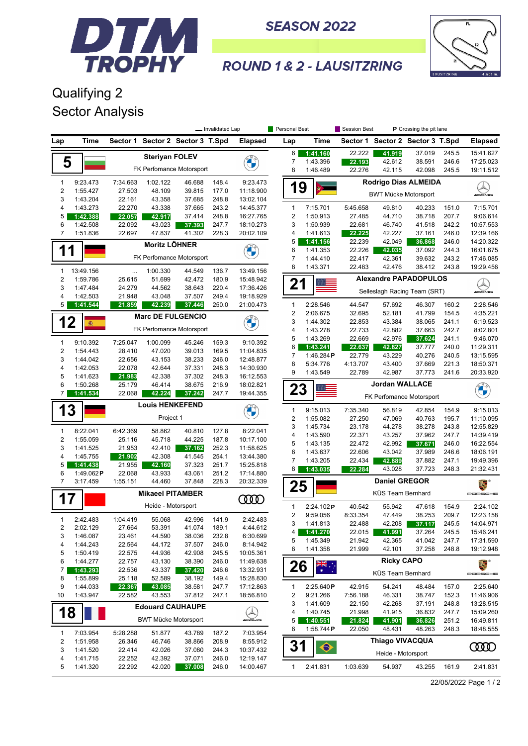

**SEASON 2022** 



## **ROUND 1 & 2 - LAUSITZRING**

## Qualifying 2 Sector Analysis

|                         |                      | - Invalidated Lap       |                             |                                  |                | Personal Best         |                | Session Best<br>P Crossing the pit lane |                   |                                  |        |       |                           |
|-------------------------|----------------------|-------------------------|-----------------------------|----------------------------------|----------------|-----------------------|----------------|-----------------------------------------|-------------------|----------------------------------|--------|-------|---------------------------|
| Lap                     | Time                 |                         |                             | Sector 1 Sector 2 Sector 3 T.Spd |                | <b>Elapsed</b>        | Lap            | Time                                    |                   | Sector 1 Sector 2 Sector 3 T.Spd |        |       | <b>Elapsed</b>            |
|                         |                      |                         | <b>Steriyan FOLEV</b>       |                                  |                |                       | 6              | 1:41.160                                | 22.222            | 41.919                           | 37.019 | 245.5 | 15:41.627                 |
| 5                       |                      |                         |                             |                                  |                | <b>DESCRIPTION</b>    | 7              | 1:43.396                                | 22.193            | 42.612                           | 38.591 | 246.6 | 17:25.023                 |
|                         |                      |                         |                             | FK Perfomance Motorsport         |                |                       | 8              | 1:46.489                                | 22.276            | 42.115                           | 42.098 | 245.5 | 19:11.512                 |
| 1                       | 9:23.473             | 7:34.663                | 1:02.122                    | 46.688                           | 148.4          | 9:23.473              |                |                                         |                   | <b>Rodrigo Dias ALMEIDA</b>      |        |       |                           |
| $\overline{\mathbf{c}}$ | 1:55.427             | 27.503                  | 48.109                      | 39.815                           | 177.0          | 11:18.900             | 19             |                                         |                   |                                  |        |       | $\bigotimes_{\mathbb{Z}}$ |
| 3                       | 1:43.204             | 22.161                  | 43.358                      | 37.685                           | 248.8          | 13:02.104             |                |                                         |                   | <b>BWT Mücke Motorsport</b>      |        |       |                           |
| 4                       | 1:43.273             | 22.270                  | 43.338                      | 37.665                           | 243.2          | 14:45.377             | 1              | 7:15.701                                | 5:45.658          | 49.810                           | 40.233 | 151.0 | 7:15.701                  |
| 5                       | 1:42.388             | 22.057                  | 42.917                      | 37.414                           | 248.8          | 16:27.765             | $\overline{c}$ | 1:50.913                                | 27.485            | 44.710                           | 38.718 | 207.7 | 9:06.614                  |
| 6                       | 1:42.508             | 22.092                  | 43.023                      | 37.393                           | 247.7          | 18:10.273             | 3              | 1:50.939                                | 22.681            | 46.740                           | 41.518 | 242.2 | 10:57.553                 |
| $\overline{7}$          | 1:51.836             | 22.697                  | 47.837                      | 41.302                           | 228.3          | 20:02.109             | 4              | 1:41.613                                | 22.225            | 42.227                           | 37.161 | 246.0 | 12:39.166                 |
|                         |                      |                         | <b>Moritz LÖHNER</b>        |                                  |                |                       | 5              | 1:41.156                                | 22.239            | 42.049                           | 36.868 | 246.0 | 14:20.322                 |
| 1                       |                      |                         |                             |                                  |                | <b>CONTRACTOR</b>     | 6              | 1:41.353                                | 22.226            | 42.035                           | 37.092 | 244.3 | 16:01.675                 |
|                         |                      |                         |                             | FK Perfomance Motorsport         |                |                       | 7              | 1:44.410                                | 22.417            | 42.361                           | 39.632 | 243.2 | 17:46.085                 |
| 1                       | 13:49.156            | $\cdots$                | 1:00.330                    | 44.549                           | 136.7          | 13:49.156             | 8              | 1:43.371                                | 22.483            | 42.476                           | 38.412 | 243.8 | 19:29.456                 |
| 2                       | 1:59.786             | 25.615                  | 51.699                      | 42.472                           | 180.9          | 15:48.942             |                |                                         |                   | <b>Alexandre PAPADOPULOS</b>     |        |       |                           |
| 3                       | 1:47.484             | 24.279                  | 44.562                      | 38.643                           | 220.4          | 17:36.426             | 21             |                                         |                   | Selleslagh Racing Team (SRT)     |        |       | WAME                      |
| 4                       | 1:42.503             | 21.948                  | 43.048                      | 37.507                           | 249.4          | 19:18.929             |                |                                         |                   |                                  |        |       |                           |
| 5                       | 1:41.544             | 21.859                  | 42.239                      | 37.446                           | 250.0          | 21:00.473             | 1              | 2:28.546                                | 44.547            | 57.692                           | 46.307 | 160.2 | 2:28.546                  |
|                         |                      |                         |                             | <b>Marc DE FULGENCIO</b>         |                |                       | $\overline{c}$ | 2:06.675                                | 32.695            | 52.181                           | 41.799 | 154.5 | 4:35.221                  |
| 12                      | 癟                    |                         |                             |                                  |                |                       | 3              | 1:44.302                                | 22.853            | 43.384                           | 38.065 | 241.1 | 6:19.523                  |
|                         |                      |                         |                             | FK Perfomance Motorsport         |                |                       | 4              | 1:43.278                                | 22.733            | 42.882                           | 37.663 | 242.7 | 8:02.801                  |
| $\mathbf{1}$            | 9:10.392             | 7:25.047                | 1:00.099                    | 45.246                           | 159.3          | 9:10.392              | 5              | 1:43.269                                | 22.669            | 42.976                           | 37.624 | 241.1 | 9:46.070                  |
| $\overline{2}$          | 1:54.443             | 28.410                  | 47.020                      | 39.013                           | 169.5          | 11:04.835             | 6              | 1:43.241                                | 22.637            | 42.827                           | 37.777 | 240.0 | 11:29.311                 |
| 3                       | 1:44.042             | 22.656                  | 43.153                      | 38.233                           | 246.0          | 12:48.877             | 7              | 1:46.284 $P$                            | 22.779            | 43.229                           | 40.276 | 240.5 | 13:15.595                 |
| 4                       | 1:42.053             | 22.078                  | 42.644                      | 37.331                           | 248.3          | 14:30.930             | 8              | 5:34.776                                | 4:13.707          | 43.400                           | 37.669 | 221.3 | 18:50.371                 |
| 5                       | 1:41.623             | 21.983                  | 42.338                      | 37.302                           | 248.3          | 16:12.553             | 9              | 1:43.549                                | 22.789            | 42.987                           | 37.773 | 241.6 | 20:33.920                 |
| 6                       | 1:50.268             | 25.179                  | 46.414                      | 38.675                           | 216.9          | 18:02.821             |                |                                         |                   | <b>Jordan WALLACE</b>            |        |       |                           |
| 7                       | 1:41.534             | 22.068                  | 42.224                      | 37.242                           | 247.7          | 19:44.355             | 23             |                                         |                   | FK Perfomance Motorsport         |        |       |                           |
| 13                      |                      |                         | <b>Louis HENKEFEND</b>      |                                  |                |                       | 1              | 9:15.013                                | 7:35.340          | 56.819                           | 42.854 | 154.9 | 9:15.013                  |
|                         |                      |                         | Project 1                   |                                  |                |                       | $\overline{c}$ | 1:55.082                                | 27.250            | 47.069                           | 40.763 | 195.7 | 11:10.095                 |
|                         |                      |                         |                             |                                  |                |                       | 3              | 1:45.734                                | 23.178            | 44.278                           | 38.278 | 243.8 | 12:55.829                 |
| 1<br>$\overline{2}$     | 8:22.041<br>1:55.059 | 6:42.369<br>25.116      | 58.862<br>45.718            | 40.810<br>44.225                 | 127.8<br>187.8 | 8:22.041<br>10:17.100 | 4              | 1:43.590                                | 22.371            | 43.257                           | 37.962 | 247.7 | 14:39.419                 |
| 3                       | 1:41.525             | 21.953                  | 42.410                      | 37.162                           | 252.3          | 11:58.625             | 5              | 1:43.135                                | 22.472            | 42.992                           | 37.671 | 246.0 | 16:22.554                 |
| 4                       | 1:45.755             | 21.902                  | 42.308                      | 41.545                           | 254.1          | 13:44.380             | 6              | 1:43.637                                | 22.606            | 43.042                           | 37.989 | 246.6 | 18:06.191                 |
| 5                       | 1:41.438             | 21.955                  | 42.160                      | 37.323                           | 251.7          | 15:25.818             | 7              | 1:43.205                                | 22.434            | 42.889                           | 37.882 | 247.1 | 19:49.396                 |
| 6                       | 1:49.062P            | 22.068                  | 43.933                      | 43.061                           | 251.2          | 17:14.880             | 8              | 1:43.035                                | 22.284            | 43.028                           | 37.723 | 248.3 | 21:32.431                 |
| $\overline{7}$          | 3:17.459             | 1:55.151                | 44.460                      | 37.848                           | 228.3          | 20:32.339             |                |                                         |                   | <b>Daniel GREGOR</b>             |        |       | ã.,                       |
|                         |                      | <b>Mikaeel PITAMBER</b> |                             |                                  |                |                       | 25             |                                         |                   | PORSCHE                          |        |       |                           |
|                         | $\mathbf 1$<br>7     |                         |                             |                                  | <b>COOD</b>    |                       |                |                                         | KÜS Team Bernhard |                                  |        |       |                           |
|                         |                      |                         | Heide - Motorsport          |                                  |                |                       | 1              | 2:24.102P                               | 40.542            | 55.942                           | 47.618 | 154.9 | 2:24.102                  |
| $\mathbf{1}$            | 2:42.483             | 1:04.419                | 55.068                      | 42.996                           | 141.9          | 2:42.483              | 2              | 9:59.056                                | 8:33.354          | 47.449                           | 38.253 | 209.7 | 12:23.158                 |
| 2                       | 2:02.129             | 27.664                  | 53.391                      | 41.074                           | 189.1          | 4:44.612              | 3              | 1:41.813                                | 22.488            | 42.208                           | 37.117 | 245.5 | 14:04.971                 |
| 3                       | 1:46.087             | 23.461                  | 44.590                      | 38.036                           | 232.8          | 6:30.699              | 4              | 1:41.270                                | 22.015            | 41.991                           | 37.264 | 245.5 | 15:46.241                 |
| 4                       | 1:44.243             | 22.564                  | 44.172                      | 37.507                           | 246.0          | 8:14.942              | 5              | 1:45.349                                | 21.942            | 42.365                           | 41.042 | 247.7 | 17:31.590                 |
| 5                       | 1:50.419             | 22.575                  | 44.936                      | 42.908                           | 245.5          | 10:05.361             | 6              | 1:41.358                                | 21.999            | 42.101                           | 37.258 | 248.8 | 19:12.948                 |
| 6                       | 1:44.277             | 22.757                  | 43.130                      | 38.390                           | 246.0          | 11:49.638             |                |                                         |                   | <b>Ricky CAPO</b>                |        |       | E.                        |
| 7                       | 1:43.293             | 22.536                  | 43.337                      | 37.420                           | 246.6          | 13:32.931             | 26             | त्रह<br>क                               |                   | KÜS Team Bernhard                |        |       | PORSCHE                   |
| 8                       | 1:55.899             | 25.118                  | 52.589                      | 38.192                           | 149.4          | 15:28.830             |                |                                         |                   |                                  |        |       |                           |
| 9                       | 1:44.033             | 22.367                  | 43.085                      | 38.581                           | 247.7          | 17:12.863             | 1              | 2:25.640P                               | 42.915            | 54.241                           | 48.484 | 157.0 | 2:25.640                  |
| 10                      | 1:43.947             | 22.582                  | 43.553                      | 37.812                           | 247.1          | 18:56.810             | 2              | 9:21.266                                | 7:56.188          | 46.331                           | 38.747 | 152.3 | 11:46.906                 |
|                         |                      |                         |                             | <b>Edouard CAUHAUPE</b>          |                |                       | 3              | 1:41.609                                | 22.150            | 42.268                           | 37.191 | 248.8 | 13:28.515                 |
| 18                      |                      |                         |                             |                                  |                |                       | 4              | 1:40.745                                | 21.998            | 41.915                           | 36.832 | 247.7 | 15:09.260                 |
|                         |                      |                         | <b>BWT Mücke Motorsport</b> |                                  |                | <i><b>INNER</b></i>   | 5              | 1:40.551                                | 21.824            | 41.901                           | 36.826 | 251.2 | 16:49.811                 |
| 1                       | 7:03.954             | 5:28.288                | 51.877                      | 43.789                           | 187.2          | 7:03.954              | 6              | 1:58.744P                               | 22.050            | 48.431                           | 48.263 | 248.3 | 18:48.555                 |
| 2                       | 1:51.958             | 26.346                  | 46.746                      | 38.866                           | 208.9          | 8:55.912              | 31             |                                         |                   | <b>Thiago VIVACQUA</b>           |        |       |                           |
| 3                       | 1:41.520             | 22.414                  | 42.026                      | 37.080                           | 244.3          | 10:37.432             |                | $\bullet$                               |                   | Heide - Motorsport               |        |       | ŒŒ                        |
| 4                       | 1:41.715             | 22.252                  | 42.392                      | 37.071                           | 246.0          | 12:19.147             |                |                                         |                   |                                  |        |       |                           |
| 5                       | 1:41.320             | 22.292                  | 42.020                      | 37.008                           | 246.0          | 14:00.467             | 1              | 2:41.831                                | 1:03.639          | 54.937                           | 43.255 | 161.9 | 2:41.831                  |

22/05/2022 Page 1 / 2